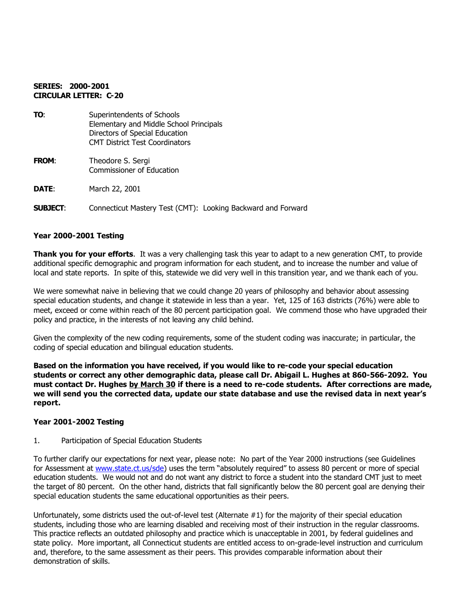## **SERIES: 2000-2001 CIRCULAR LETTER: C-20**

| TO:             | Superintendents of Schools<br>Elementary and Middle School Principals<br>Directors of Special Education<br><b>CMT District Test Coordinators</b> |
|-----------------|--------------------------------------------------------------------------------------------------------------------------------------------------|
| <b>FROM:</b>    | Theodore S. Sergi<br>Commissioner of Education                                                                                                   |
| DATE:           | March 22, 2001                                                                                                                                   |
| <b>SUBJECT:</b> | Connecticut Mastery Test (CMT): Looking Backward and Forward                                                                                     |

### **Year 2000-2001 Testing**

**Thank you for your efforts**. It was a very challenging task this year to adapt to a new generation CMT, to provide additional specific demographic and program information for each student, and to increase the number and value of local and state reports. In spite of this, statewide we did very well in this transition year, and we thank each of you.

We were somewhat naive in believing that we could change 20 years of philosophy and behavior about assessing special education students, and change it statewide in less than a year. Yet, 125 of 163 districts (76%) were able to meet, exceed or come within reach of the 80 percent participation goal. We commend those who have upgraded their policy and practice, in the interests of not leaving any child behind.

Given the complexity of the new coding requirements, some of the student coding was inaccurate; in particular, the coding of special education and bilingual education students.

**Based on the information you have received, if you would like to re-code your special education students or correct any other demographic data, please call Dr. Abigail L. Hughes at 860-566-2092. You must contact Dr. Hughes by March 30 if there is a need to re-code students. After corrections are made, we will send you the corrected data, update our state database and use the revised data in next year's report.**

#### **Year 2001-2002 Testing**

#### 1. Participation of Special Education Students

To further clarify our expectations for next year, please note: No part of the Year 2000 instructions (see Guidelines for Assessment at www.state.ct.us/sde) uses the term "absolutely required" to assess 80 percent or more of special education students. We would not and do not want any district to force a student into the standard CMT just to meet the target of 80 percent. On the other hand, districts that fall significantly below the 80 percent goal are denying their special education students the same educational opportunities as their peers.

Unfortunately, some districts used the out-of-level test (Alternate #1) for the majority of their special education students, including those who are learning disabled and receiving most of their instruction in the regular classrooms. This practice reflects an outdated philosophy and practice which is unacceptable in 2001, by federal guidelines and state policy. More important, all Connecticut students are entitled access to on-grade-level instruction and curriculum and, therefore, to the same assessment as their peers. This provides comparable information about their demonstration of skills.